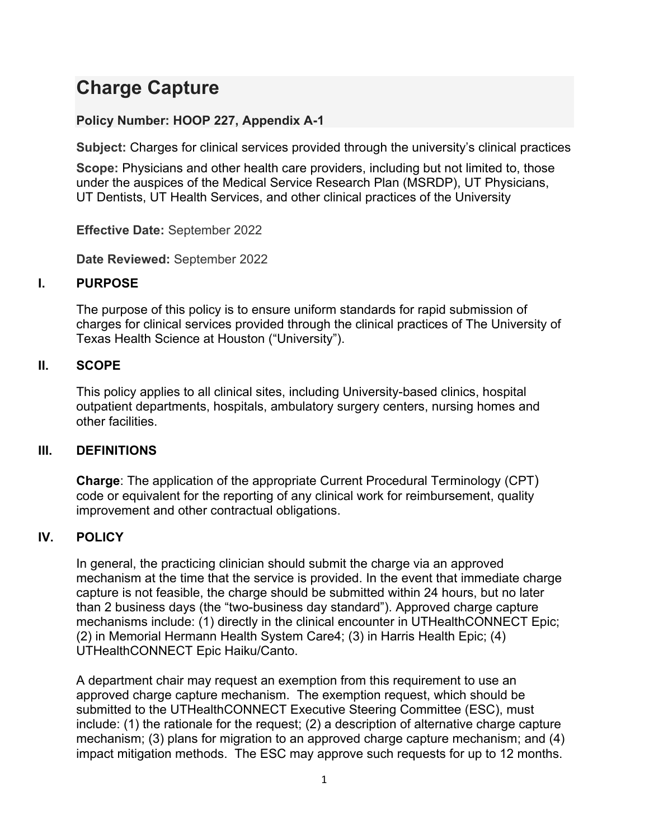# **Charge Capture**

## **Policy Number: HOOP 227, Appendix A-1**

**Subject:** Charges for clinical services provided through the university's clinical practices

**Scope:** Physicians and other health care providers, including but not limited to, those under the auspices of the Medical Service Research Plan (MSRDP), UT Physicians, UT Dentists, UT Health Services, and other clinical practices of the University

**Effective Date:** September 2022

**Date Reviewed:** September 2022

### **I. PURPOSE**

The purpose of this policy is to ensure uniform standards for rapid submission of charges for clinical services provided through the clinical practices of The University of Texas Health Science at Houston ("University").

#### **II. SCOPE**

This policy applies to all clinical sites, including University-based clinics, hospital outpatient departments, hospitals, ambulatory surgery centers, nursing homes and other facilities.

### **III. DEFINITIONS**

**Charge**: The application of the appropriate Current Procedural Terminology (CPT) code or equivalent for the reporting of any clinical work for reimbursement, quality improvement and other contractual obligations.

### **IV. POLICY**

In general, the practicing clinician should submit the charge via an approved mechanism at the time that the service is provided. In the event that immediate charge capture is not feasible, the charge should be submitted within 24 hours, but no later than 2 business days (the "two-business day standard"). Approved charge capture mechanisms include: (1) directly in the clinical encounter in UTHealthCONNECT Epic; (2) in Memorial Hermann Health System Care4; (3) in Harris Health Epic; (4) UTHealthCONNECT Epic Haiku/Canto.

A department chair may request an exemption from this requirement to use an approved charge capture mechanism. The exemption request, which should be submitted to the UTHealthCONNECT Executive Steering Committee (ESC), must include: (1) the rationale for the request; (2) a description of alternative charge capture mechanism; (3) plans for migration to an approved charge capture mechanism; and (4) impact mitigation methods. The ESC may approve such requests for up to 12 months.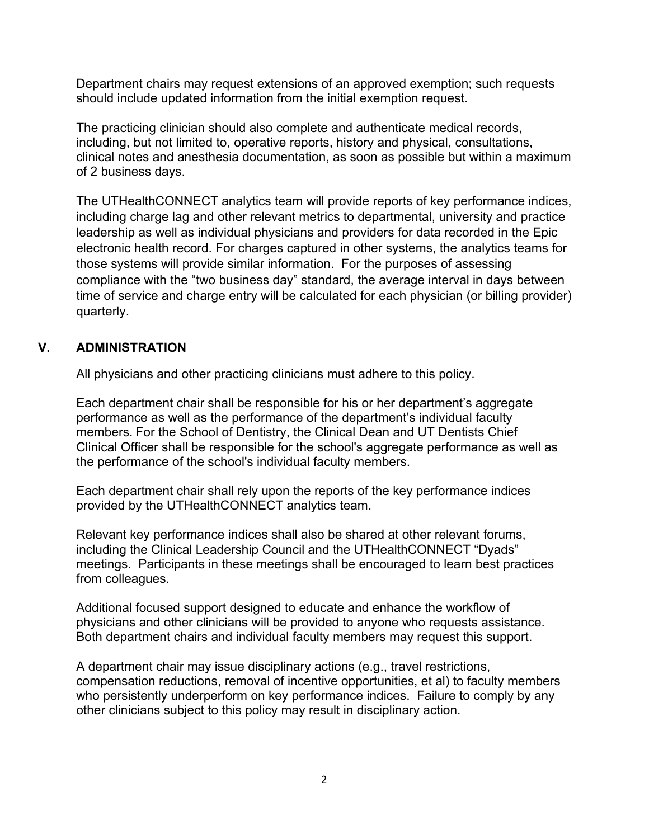Department chairs may request extensions of an approved exemption; such requests should include updated information from the initial exemption request.

The practicing clinician should also complete and authenticate medical records, including, but not limited to, operative reports, history and physical, consultations, clinical notes and anesthesia documentation, as soon as possible but within a maximum of 2 business days.

The UTHealthCONNECT analytics team will provide reports of key performance indices, including charge lag and other relevant metrics to departmental, university and practice leadership as well as individual physicians and providers for data recorded in the Epic electronic health record. For charges captured in other systems, the analytics teams for those systems will provide similar information. For the purposes of assessing compliance with the "two business day" standard, the average interval in days between time of service and charge entry will be calculated for each physician (or billing provider) quarterly.

### **V. ADMINISTRATION**

All physicians and other practicing clinicians must adhere to this policy.

Each department chair shall be responsible for his or her department's aggregate performance as well as the performance of the department's individual faculty members. For the School of Dentistry, the Clinical Dean and UT Dentists Chief Clinical Officer shall be responsible for the school's aggregate performance as well as the performance of the school's individual faculty members.

Each department chair shall rely upon the reports of the key performance indices provided by the UTHealthCONNECT analytics team.

Relevant key performance indices shall also be shared at other relevant forums, including the Clinical Leadership Council and the UTHealthCONNECT "Dyads" meetings. Participants in these meetings shall be encouraged to learn best practices from colleagues.

Additional focused support designed to educate and enhance the workflow of physicians and other clinicians will be provided to anyone who requests assistance. Both department chairs and individual faculty members may request this support.

A department chair may issue disciplinary actions (e.g., travel restrictions, compensation reductions, removal of incentive opportunities, et al) to faculty members who persistently underperform on key performance indices. Failure to comply by any other clinicians subject to this policy may result in disciplinary action.